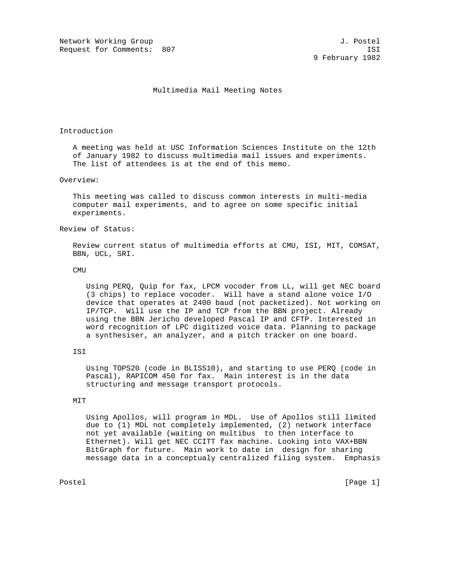Network Working Group and Society and Society and Society and Society and J. Postel Request for Comments: 807 ISI

## Multimedia Mail Meeting Notes

## Introduction

 A meeting was held at USC Information Sciences Institute on the 12th of January 1982 to discuss multimedia mail issues and experiments. The list of attendees is at the end of this memo.

## Overview:

 This meeting was called to discuss common interests in multi-media computer mail experiments, and to agree on some specific initial experiments.

## Review of Status:

 Review current status of multimedia efforts at CMU, ISI, MIT, COMSAT, BBN, UCL, SRI.

## **CMU**

 Using PERQ, Quip for fax, LPCM vocoder from LL, will get NEC board (3 chips) to replace vocoder. Will have a stand alone voice I/O device that operates at 2400 baud (not packetized). Not working on IP/TCP. Will use the IP and TCP from the BBN project. Already using the BBN Jericho developed Pascal IP and CFTP. Interested in word recognition of LPC digitized voice data. Planning to package a synthesiser, an analyzer, and a pitch tracker on one board.

## ISI

 Using TOPS20 (code in BLISS10), and starting to use PERQ (code in Pascal), RAPICOM 450 for fax. Main interest is in the data structuring and message transport protocols.

## MIT

 Using Apollos, will program in MDL. Use of Apollos still limited due to (1) MDL not completely implemented, (2) network interface not yet available (waiting on multibus to then interface to Ethernet). Will get NEC CCITT fax machine. Looking into VAX+BBN BitGraph for future. Main work to date in design for sharing message data in a conceptualy centralized filing system. Emphasis

Postel [Page 1] [Page 1]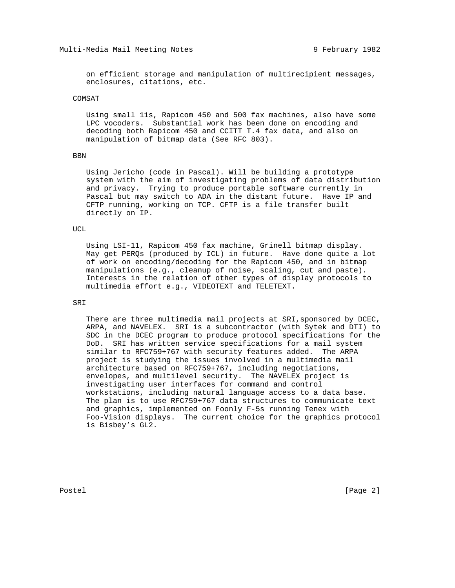on efficient storage and manipulation of multirecipient messages, enclosures, citations, etc.

## COMSAT

 Using small 11s, Rapicom 450 and 500 fax machines, also have some LPC vocoders. Substantial work has been done on encoding and decoding both Rapicom 450 and CCITT T.4 fax data, and also on manipulation of bitmap data (See RFC 803).

#### BBN

 Using Jericho (code in Pascal). Will be building a prototype system with the aim of investigating problems of data distribution and privacy. Trying to produce portable software currently in Pascal but may switch to ADA in the distant future. Have IP and CFTP running, working on TCP. CFTP is a file transfer built directly on IP.

## UCL

 Using LSI-11, Rapicom 450 fax machine, Grinell bitmap display. May get PERQs (produced by ICL) in future. Have done quite a lot of work on encoding/decoding for the Rapicom 450, and in bitmap manipulations (e.g., cleanup of noise, scaling, cut and paste). Interests in the relation of other types of display protocols to multimedia effort e.g., VIDEOTEXT and TELETEXT.

# SRI

There are three multimedia mail projects at SRI, sponsored by DCEC, ARPA, and NAVELEX. SRI is a subcontractor (with Sytek and DTI) to SDC in the DCEC program to produce protocol specifications for the DoD. SRI has written service specifications for a mail system similar to RFC759+767 with security features added. The ARPA project is studying the issues involved in a multimedia mail architecture based on RFC759+767, including negotiations, envelopes, and multilevel security. The NAVELEX project is investigating user interfaces for command and control workstations, including natural language access to a data base. The plan is to use RFC759+767 data structures to communicate text and graphics, implemented on Foonly F-5s running Tenex with Foo-Vision displays. The current choice for the graphics protocol is Bisbey's GL2.

Postel [Page 2]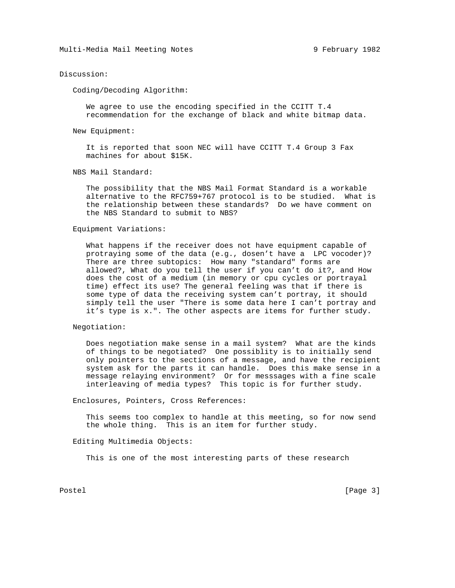## Discussion:

Coding/Decoding Algorithm:

 We agree to use the encoding specified in the CCITT T.4 recommendation for the exchange of black and white bitmap data.

New Equipment:

 It is reported that soon NEC will have CCITT T.4 Group 3 Fax machines for about \$15K.

NBS Mail Standard:

 The possibility that the NBS Mail Format Standard is a workable alternative to the RFC759+767 protocol is to be studied. What is the relationship between these standards? Do we have comment on the NBS Standard to submit to NBS?

## Equipment Variations:

 What happens if the receiver does not have equipment capable of protraying some of the data (e.g., dosen't have a LPC vocoder)? There are three subtopics: How many "standard" forms are allowed?, What do you tell the user if you can't do it?, and How does the cost of a medium (in memory or cpu cycles or portrayal time) effect its use? The general feeling was that if there is some type of data the receiving system can't portray, it should simply tell the user "There is some data here I can't portray and it's type is x.". The other aspects are items for further study.

### Negotiation:

 Does negotiation make sense in a mail system? What are the kinds of things to be negotiated? One possiblity is to initially send only pointers to the sections of a message, and have the recipient system ask for the parts it can handle. Does this make sense in a message relaying environment? Or for messsages with a fine scale interleaving of media types? This topic is for further study.

Enclosures, Pointers, Cross References:

 This seems too complex to handle at this meeting, so for now send the whole thing. This is an item for further study.

## Editing Multimedia Objects:

This is one of the most interesting parts of these research

Postel [Page 3]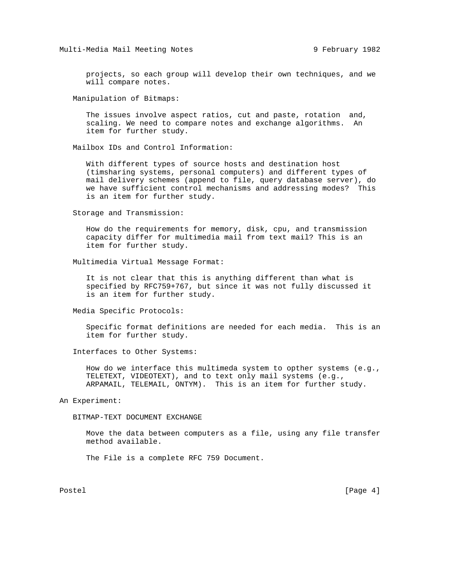projects, so each group will develop their own techniques, and we will compare notes.

Manipulation of Bitmaps:

 The issues involve aspect ratios, cut and paste, rotation and, scaling. We need to compare notes and exchange algorithms. An item for further study.

Mailbox IDs and Control Information:

 With different types of source hosts and destination host (timsharing systems, personal computers) and different types of mail delivery schemes (append to file, query database server), do we have sufficient control mechanisms and addressing modes? This is an item for further study.

Storage and Transmission:

 How do the requirements for memory, disk, cpu, and transmission capacity differ for multimedia mail from text mail? This is an item for further study.

Multimedia Virtual Message Format:

 It is not clear that this is anything different than what is specified by RFC759+767, but since it was not fully discussed it is an item for further study.

Media Specific Protocols:

 Specific format definitions are needed for each media. This is an item for further study.

Interfaces to Other Systems:

 How do we interface this multimeda system to opther systems (e.g., TELETEXT, VIDEOTEXT), and to text only mail systems (e.g., ARPAMAIL, TELEMAIL, ONTYM). This is an item for further study.

An Experiment:

BITMAP-TEXT DOCUMENT EXCHANGE

 Move the data between computers as a file, using any file transfer method available.

The File is a complete RFC 759 Document.

Postel [Page 4]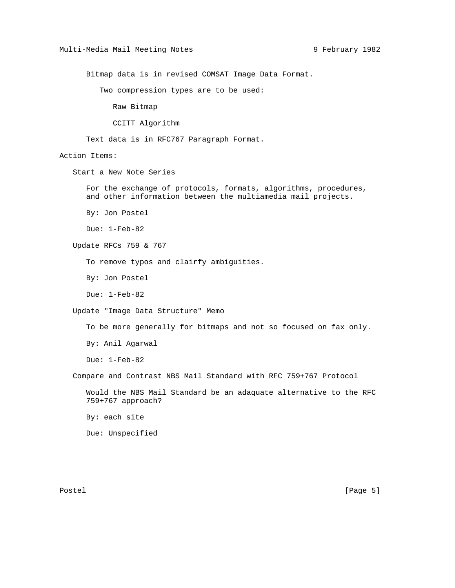Bitmap data is in revised COMSAT Image Data Format.

Two compression types are to be used:

Raw Bitmap

CCITT Algorithm

Text data is in RFC767 Paragraph Format.

Action Items:

Start a New Note Series

 For the exchange of protocols, formats, algorithms, procedures, and other information between the multiamedia mail projects.

By: Jon Postel

Due: 1-Feb-82

Update RFCs 759 & 767

To remove typos and clairfy ambiguities.

By: Jon Postel

Due: 1-Feb-82

Update "Image Data Structure" Memo

To be more generally for bitmaps and not so focused on fax only.

By: Anil Agarwal

Due: 1-Feb-82

Compare and Contrast NBS Mail Standard with RFC 759+767 Protocol

 Would the NBS Mail Standard be an adaquate alternative to the RFC 759+767 approach?

By: each site

Due: Unspecified

Postel [Page 5]